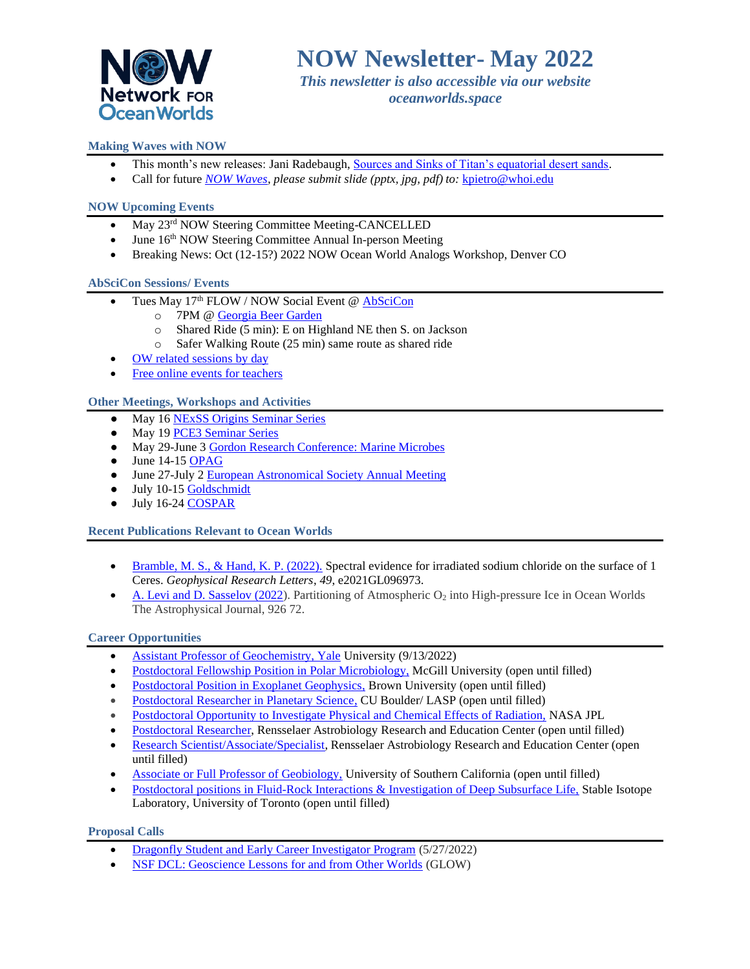

*This newsletter is also accessible via our website oceanworlds.space*

# **Making Waves with NOW**

- This month's new releases: Jani Radebaugh, [Sources and Sinks of Titan's equatorial desert sands.](https://oceanworlds.space/wp-content/uploads/sites/22/2022/05/May_Radebaugh-scaled.jpg)
- Call for future *[NOW Waves,](https://oceanworlds.space/makingwaves/) please submit slide (pptx, jpg, pdf) to:* [kpietro@whoi.edu](mailto:kpietro@whoi.edu)

## **NOW Upcoming Events**

- May 23<sup>rd</sup> NOW Steering Committee Meeting-CANCELLED
- June  $16<sup>th</sup>$  NOW Steering Committee Annual In-person Meeting
- Breaking News: Oct (12-15?) 2022 NOW Ocean World Analogs Workshop, Denver CO

### **AbSciCon Sessions/ Events**

- Tues May 17<sup>th</sup> FLOW / NOW Social Event @ [AbSciCon](https://www.agu.org/abscicon)
	- o 7PM [@ Georgia Beer Garden](http://www.gabeergarden.com/)
		- o Shared Ride (5 min): E on Highland NE then S. on Jackson
		- o Safer Walking Route (25 min) same route as shared ride
- [OW related sessions](https://docs.google.com/spreadsheets/d/10_L2DW-MFCangp9YR-g4OHek8bqJziKJk61Hc1zuC38/edit#gid=33169576) by day
- [Free online events for teachers](https://www.agu.org/AbSciCon/Pages/Attend/Public-Events)

### **Other Meetings, Workshops and Activities**

- May 1[6 NExSS Origins Seminar Series](http://eos-nexus.org/origins-seminar/)
- May 1[9 PCE3 Seminar Series](https://ucr.zoom.us/meeting/register/tJUucO2orTwoHNy8jH5XsUX9Q03kjVuAU3Jd)
- May 29-June [3 Gordon Research Conference: Marine Microbes](https://www.grc.org/marine-microbes-conference/2022/)
- $\bullet$  June 14-1[5 OPAG](https://www.lpi.usra.edu/opag/meetings/upcoming/)
- June 27-July 2 [European Astronomical Society Annual Meeting](https://eas.unige.ch/EAS2022/index.jsp)
- July 10-15 [Goldschmidt](https://2022.goldschmidt.info/goldschmidt/2022/meetingapp.cgi)
- July 16-24 [COSPAR](https://www.cosparathens2022.org/)

## **Recent Publications Relevant to Ocean Worlds**

- [Bramble, M. S., & Hand, K. P. \(2022\).](https://agupubs.onlinelibrary.wiley.com/doi/10.1029/2021GL096973) Spectral evidence for irradiated sodium chloride on the surface of 1 Ceres. *Geophysical Research Letters*, *49*, e2021GL096973.
- [A. Levi and D. Sasselov \(2022\)](https://iopscience.iop.org/article/10.3847/1538-4357/ac4500). Partitioning of Atmospheric  $O_2$  into High-pressure Ice in Ocean Worlds The Astrophysical Journal, 926 72.

# **Career Opportunities**

- [Assistant Professor of Geochemistry, Yale](https://apply.interfolio.com/94167) University (9/13/2022)
- [Postdoctoral Fellowship Position in Polar Microbiology,](https://oceanworlds.space/jobs/) McGill University (open until filled)
- [Postdoctoral Position in Exoplanet Geophysics,](http://ghosst.alexjevans.com/) Brown University (open until filled)
- [Postdoctoral Researcher in Planetary Science,](https://jobs.colorado.edu/jobs/JobDetail/?jobId=35763) CU Boulder/ LASP (open until filled)
- [Postdoctoral Opportunity to Investigate Physical and Chemical Effects of Radiation,](https://citjpl.wd5.myworkdayjobs.com/Jobs/job/JPL-Campus/Postdoc-Opportunity---Investigate-Physical-and-Chemical-Effects-of-Radiation--Group-3227_R1575) NASA JPL
- [Postdoctoral Researcher,](https://rare.rpi.edu/opportunities/opportunities.html) Rensselaer Astrobiology Research and Education Center (open until filled)
- [Research Scientist/Associate/Specialist,](https://rare.rpi.edu/opportunities/opportunities.html) Rensselaer Astrobiology Research and Education Center (open until filled)
- [Associate or Full Professor of Geobiology,](https://usccareers.usc.edu/job/los-angeles/associate-or-full-professor-of-geobiology/1209/14872585040) University of Southern California (open until filled)
- [Postdoctoral positions in Fluid-Rock Interactions & Investigation of Deep Subsurface Life,](https://bsherwoodlollar.weebly.com/research-opportunities.html) Stable Isotope Laboratory, University of Toronto (open until filled)

#### **Proposal Calls**

- [Dragonfly Student and Early Career Investigator Program](https://dragonfly.jhuapl.edu/Student-Opportunities/?fbclid=IwAR3b6NVZWMT66H9GFPHfpNa7HpBuYQEFN7uZAgaLgwyBfDE6x9tmzYyhtaE&utm_source=Lunar+and+Planetary+Institute+Newsletters&utm_campaign=31eadf6794-EMAIL_CAMPAIGN_2022_1_26&utm_medium=email&utm_term=0_351c) (5/27/2022)
- [NSF DCL: Geoscience Lessons for and from Other Worlds](https://www.nsf.gov/pubs/2022/nsf22032/nsf22032.jsp) (GLOW)